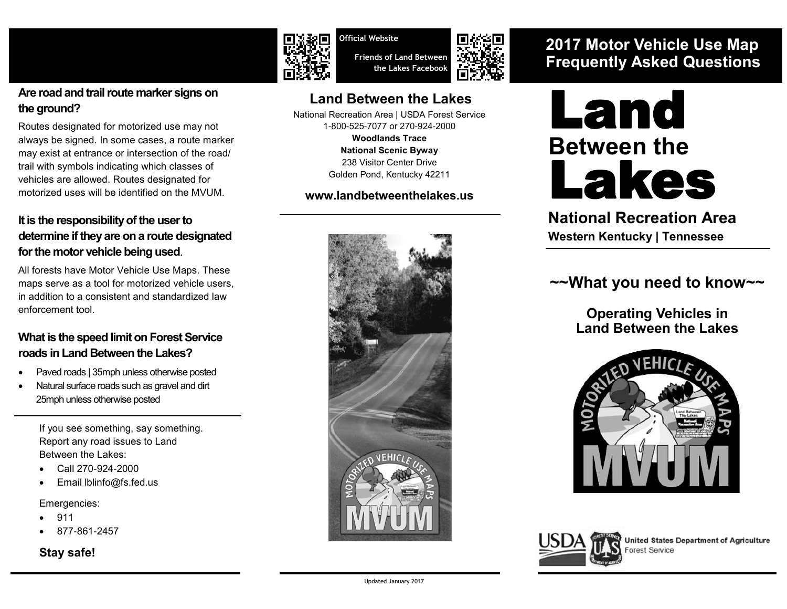

Routes designated for motorized use may not always be signed. In some cases, a route marker may exist at entrance or intersection of the road/ trail with symbols indicating which classes of vehicles are allowed. Routes designated for motorized uses will be identified on the MVUM.

#### **It is the responsibility of the user to determine if they are on a route designated for the motor vehicle being used**.

All forests have Motor Vehicle Use Maps. These maps serve as a tool for motorized vehicle users, in addition to a consistent and standardized law enforcement tool.

#### **What is the speed limit on Forest Service roads in Land Between the Lakes?**

- Paved roads | 35mph unless otherwise posted
- Natural surface roads such as gravel and dirt 25mph unless otherwise posted

If you see something, say something. Report any road issues to Land Between the Lakes:

- Call 270-924-2000
- Email lblinfo@fs.fed.us

Emergencies:

- 911
- 877-861-2457

#### **Stay safe!**



**Official Website Friends of Land Between the Lakes Facebook**

**Land Between the Lakes**  National Recreation Area | USDA Forest Service 1-800-525-7077 or 270-924-2000 **[Woodlands Trace](http://www.fhwa.dot.gov/byways/byways/2345/)  [National Scenic Byway](http://www.fhwa.dot.gov/byways/byways/2345/)** 238 Visitor Center Drive Golden Pond, Kentucky 42211

**[www.landbetweenthelakes.us](http://www.landbetweenthelakes.us)**



## **2017 Motor Vehicle Use Map Frequently Asked Questions**



### **National Recreation Area Western Kentucky | Tennessee**

## **~~What you need to know~~**

**Operating Vehicles in Land Between the Lakes**